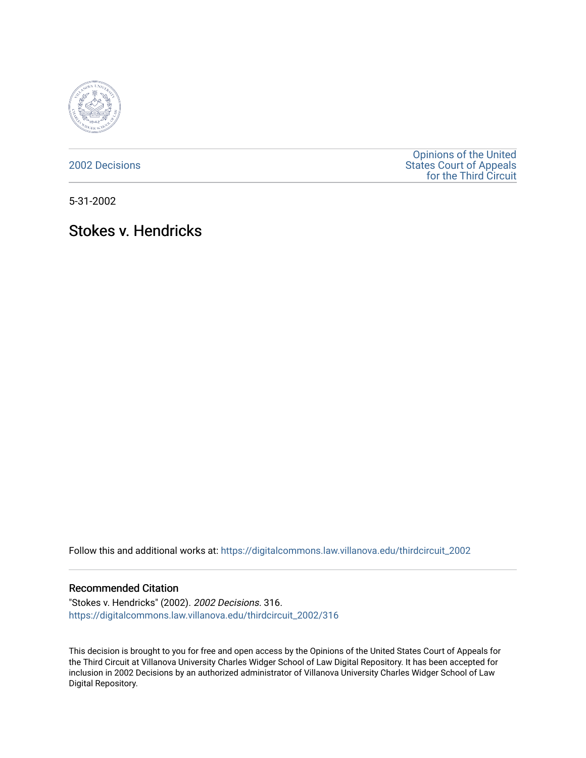

[2002 Decisions](https://digitalcommons.law.villanova.edu/thirdcircuit_2002)

[Opinions of the United](https://digitalcommons.law.villanova.edu/thirdcircuit)  [States Court of Appeals](https://digitalcommons.law.villanova.edu/thirdcircuit)  [for the Third Circuit](https://digitalcommons.law.villanova.edu/thirdcircuit) 

5-31-2002

## Stokes v. Hendricks

Follow this and additional works at: [https://digitalcommons.law.villanova.edu/thirdcircuit\\_2002](https://digitalcommons.law.villanova.edu/thirdcircuit_2002?utm_source=digitalcommons.law.villanova.edu%2Fthirdcircuit_2002%2F316&utm_medium=PDF&utm_campaign=PDFCoverPages) 

## Recommended Citation

"Stokes v. Hendricks" (2002). 2002 Decisions. 316. [https://digitalcommons.law.villanova.edu/thirdcircuit\\_2002/316](https://digitalcommons.law.villanova.edu/thirdcircuit_2002/316?utm_source=digitalcommons.law.villanova.edu%2Fthirdcircuit_2002%2F316&utm_medium=PDF&utm_campaign=PDFCoverPages)

This decision is brought to you for free and open access by the Opinions of the United States Court of Appeals for the Third Circuit at Villanova University Charles Widger School of Law Digital Repository. It has been accepted for inclusion in 2002 Decisions by an authorized administrator of Villanova University Charles Widger School of Law Digital Repository.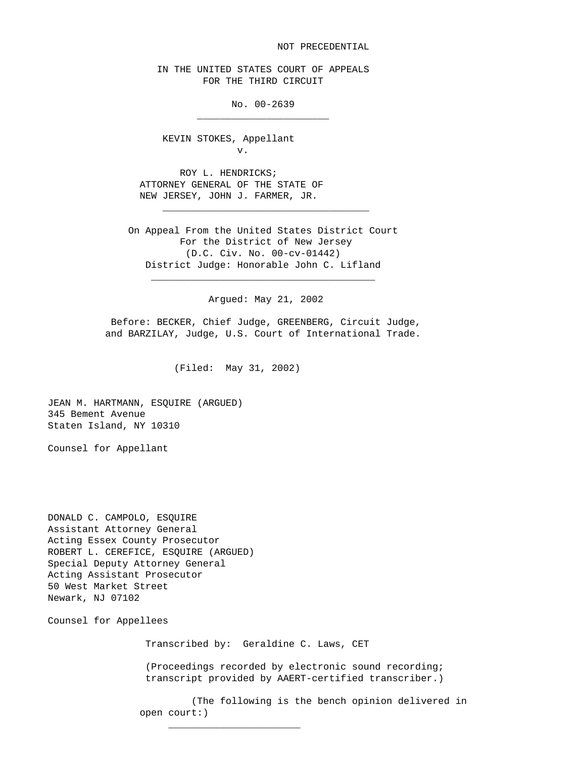NOT PRECEDENTIAL

 IN THE UNITED STATES COURT OF APPEALS FOR THE THIRD CIRCUIT

No. 00-2639

 KEVIN STOKES, Appellant v.

 $\frac{1}{\sqrt{2\pi}}$  , which is a set of the set of the set of the set of the set of the set of the set of the set of the set of the set of the set of the set of the set of the set of the set of the set of the set of the set of

 ROY L. HENDRICKS; ATTORNEY GENERAL OF THE STATE OF NEW JERSEY, JOHN J. FARMER, JR.

 $\frac{1}{\sqrt{2\pi}}$  ,  $\frac{1}{\sqrt{2\pi}}$  ,  $\frac{1}{\sqrt{2\pi}}$  ,  $\frac{1}{\sqrt{2\pi}}$  ,  $\frac{1}{\sqrt{2\pi}}$  ,  $\frac{1}{\sqrt{2\pi}}$  ,  $\frac{1}{\sqrt{2\pi}}$  ,  $\frac{1}{\sqrt{2\pi}}$  ,  $\frac{1}{\sqrt{2\pi}}$  ,  $\frac{1}{\sqrt{2\pi}}$  ,  $\frac{1}{\sqrt{2\pi}}$  ,  $\frac{1}{\sqrt{2\pi}}$  ,  $\frac{1}{\sqrt{2\pi}}$  ,

 $\overline{\phantom{a}}$  ,  $\overline{\phantom{a}}$  ,  $\overline{\phantom{a}}$  ,  $\overline{\phantom{a}}$  ,  $\overline{\phantom{a}}$  ,  $\overline{\phantom{a}}$  ,  $\overline{\phantom{a}}$  ,  $\overline{\phantom{a}}$  ,  $\overline{\phantom{a}}$  ,  $\overline{\phantom{a}}$  ,  $\overline{\phantom{a}}$  ,  $\overline{\phantom{a}}$  ,  $\overline{\phantom{a}}$  ,  $\overline{\phantom{a}}$  ,  $\overline{\phantom{a}}$  ,  $\overline{\phantom{a}}$ 

 On Appeal From the United States District Court For the District of New Jersey (D.C. Civ. No. 00-cv-01442) District Judge: Honorable John C. Lifland

Argued: May 21, 2002

 Before: BECKER, Chief Judge, GREENBERG, Circuit Judge, and BARZILAY, Judge, U.S. Court of International Trade.

(Filed: May 31, 2002)

JEAN M. HARTMANN, ESQUIRE (ARGUED) 345 Bement Avenue Staten Island, NY 10310

Counsel for Appellant

DONALD C. CAMPOLO, ESQUIRE Assistant Attorney General Acting Essex County Prosecutor ROBERT L. CEREFICE, ESQUIRE (ARGUED) Special Deputy Attorney General Acting Assistant Prosecutor 50 West Market Street Newark, NJ 07102

 $\frac{1}{\sqrt{2\pi}}$  ,  $\frac{1}{\sqrt{2\pi}}$  ,  $\frac{1}{\sqrt{2\pi}}$  ,  $\frac{1}{\sqrt{2\pi}}$  ,  $\frac{1}{\sqrt{2\pi}}$  ,  $\frac{1}{\sqrt{2\pi}}$  ,  $\frac{1}{\sqrt{2\pi}}$  ,  $\frac{1}{\sqrt{2\pi}}$  ,  $\frac{1}{\sqrt{2\pi}}$  ,  $\frac{1}{\sqrt{2\pi}}$  ,  $\frac{1}{\sqrt{2\pi}}$  ,  $\frac{1}{\sqrt{2\pi}}$  ,  $\frac{1}{\sqrt{2\pi}}$  ,

Counsel for Appellees

Transcribed by: Geraldine C. Laws, CET

 (Proceedings recorded by electronic sound recording; transcript provided by AAERT-certified transcriber.)

 (The following is the bench opinion delivered in open court:)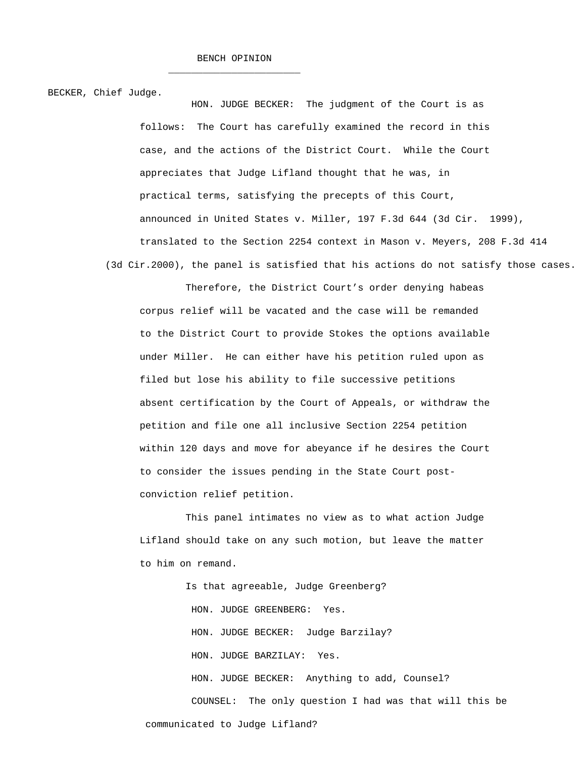$\frac{1}{\sqrt{2\pi}}$  ,  $\frac{1}{\sqrt{2\pi}}$  ,  $\frac{1}{\sqrt{2\pi}}$  ,  $\frac{1}{\sqrt{2\pi}}$  ,  $\frac{1}{\sqrt{2\pi}}$  ,  $\frac{1}{\sqrt{2\pi}}$  ,  $\frac{1}{\sqrt{2\pi}}$  ,  $\frac{1}{\sqrt{2\pi}}$  ,  $\frac{1}{\sqrt{2\pi}}$  ,  $\frac{1}{\sqrt{2\pi}}$  ,  $\frac{1}{\sqrt{2\pi}}$  ,  $\frac{1}{\sqrt{2\pi}}$  ,  $\frac{1}{\sqrt{2\pi}}$  ,

BECKER, Chief Judge.

 HON. JUDGE BECKER: The judgment of the Court is as follows: The Court has carefully examined the record in this case, and the actions of the District Court. While the Court appreciates that Judge Lifland thought that he was, in practical terms, satisfying the precepts of this Court, announced in United States v. Miller, 197 F.3d 644 (3d Cir. 1999), translated to the Section 2254 context in Mason v. Meyers, 208 F.3d 414 (3d Cir.2000), the panel is satisfied that his actions do not satisfy those cases.

 Therefore, the District Court's order denying habeas corpus relief will be vacated and the case will be remanded to the District Court to provide Stokes the options available under Miller. He can either have his petition ruled upon as filed but lose his ability to file successive petitions absent certification by the Court of Appeals, or withdraw the petition and file one all inclusive Section 2254 petition within 120 days and move for abeyance if he desires the Court to consider the issues pending in the State Court post conviction relief petition.

 This panel intimates no view as to what action Judge Lifland should take on any such motion, but leave the matter to him on remand.

 Is that agreeable, Judge Greenberg? HON. JUDGE GREENBERG: Yes. HON. JUDGE BECKER: Judge Barzilay? HON. JUDGE BARZILAY: Yes. HON. JUDGE BECKER: Anything to add, Counsel? COUNSEL: The only question I had was that will this be communicated to Judge Lifland?